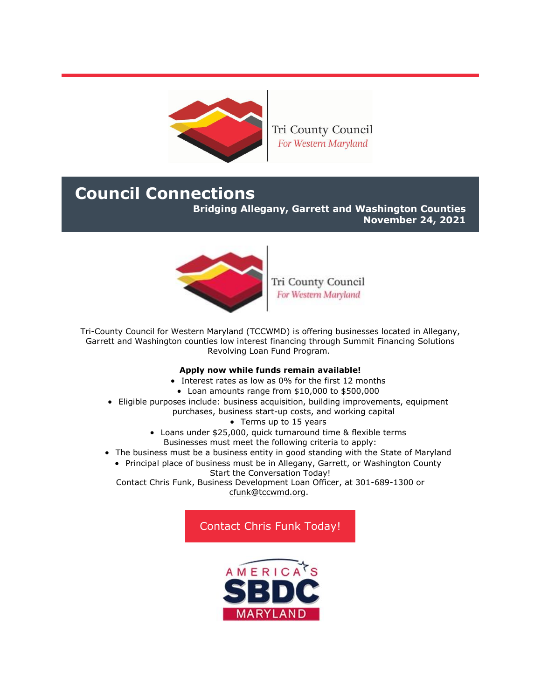

Tri County Council For Western Maryland

# **Council Connections**

**Bridging Allegany, Garrett and Washington Counties**

**November 24, 2021**



Tri County Council For Western Maryland

Tri-County Council for Western Maryland (TCCWMD) is offering businesses located in Allegany, Garrett and Washington counties low interest financing through Summit Financing Solutions Revolving Loan Fund Program.

## **Apply now while funds remain available!**

- Interest rates as low as 0% for the first 12 months
- Loan amounts range from \$10,000 to \$500,000
- Eligible purposes include: business acquisition, building improvements, equipment purchases, business start-up costs, and working capital
	- Terms up to 15 years
	- Loans under \$25,000, quick turnaround time & flexible terms Businesses must meet the following criteria to apply:
- The business must be a business entity in good standing with the State of Maryland
	- Principal place of business must be in Allegany, Garrett, or Washington County Start the Conversation Today!

Contact Chris Funk, Business Development Loan Officer, at 301-689-1300 or [cfunk@tccwmd.org.](mailto:cfunk@tccwmd.org)

# [Contact Chris Funk Today!](mailto:cfunk@tccwmd.org)